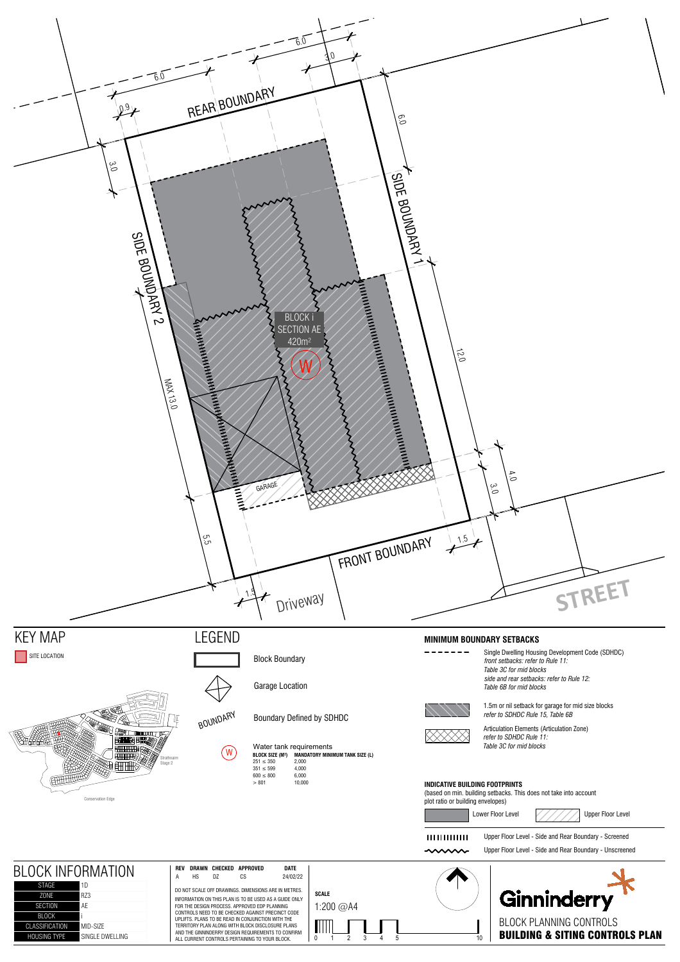